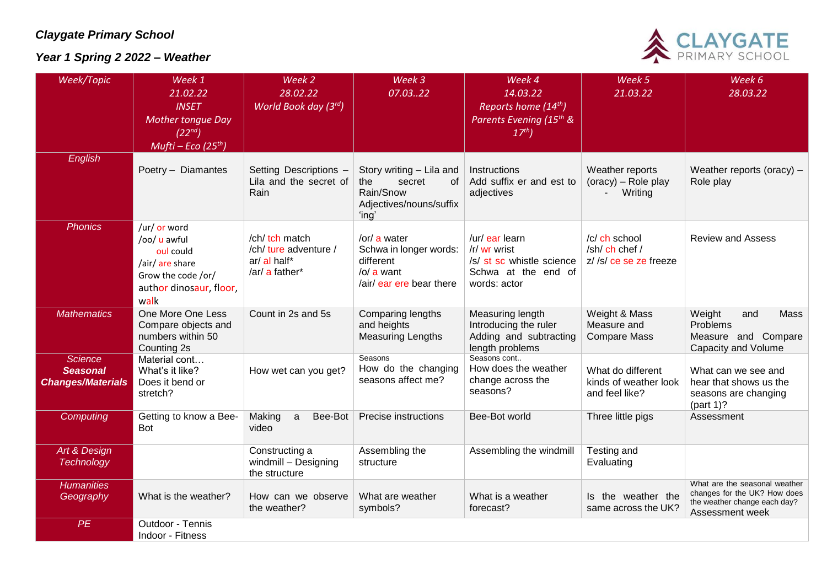## *Claygate Primary School*

## *Year 1 Spring 2 2022 – Weather*



| Week/Topic                                                    | Week 1<br>21.02.22                                                                                                    | Week 2<br>28.02.22                                                        | Week 3<br>07.0322                                                                                    | Week 4<br>14.03.22                                                                                 | Week 5<br>21.03.22                                           | Week 6<br>28.03.22                                                                                               |
|---------------------------------------------------------------|-----------------------------------------------------------------------------------------------------------------------|---------------------------------------------------------------------------|------------------------------------------------------------------------------------------------------|----------------------------------------------------------------------------------------------------|--------------------------------------------------------------|------------------------------------------------------------------------------------------------------------------|
|                                                               | <b>INSET</b><br><b>Mother tongue Day</b><br>(22 <sup>nd</sup> )<br>Mufti – Eco (25 <sup>th</sup> )                    | World Book day $(3^{rd})$                                                 |                                                                                                      | Reports home (14 <sup>th</sup> )<br>Parents Evening (15 <sup>th</sup> &<br>17 <sup>th</sup>        |                                                              |                                                                                                                  |
| <b>English</b>                                                | Poetry - Diamantes                                                                                                    | Setting Descriptions -<br>Lila and the secret of<br>Rain                  | Story writing - Lila and<br>the<br>secret<br>0f<br>Rain/Snow<br>Adjectives/nouns/suffix<br>'ing'     | Instructions<br>Add suffix er and est to<br>adjectives                                             | Weather reports<br>(oracy) - Role play<br>Writing            | Weather reports (oracy) -<br>Role play                                                                           |
| <b>Phonics</b>                                                | /ur/ or word<br>/oo/ u awful<br>oul could<br>/air/ are share<br>Grow the code /or/<br>author dinosaur, floor,<br>walk | /ch/ tch match<br>/ch/ ture adventure /<br>ar/ al half*<br>/ar/ a father* | /or/ a water<br>Schwa in longer words:<br>different<br>$\sqrt{Q}$ a want<br>/air/ ear ere bear there | /ur/ ear learn<br>/r/ wr wrist<br>/s/ st sc whistle science<br>Schwa at the end of<br>words: actor | /c/ ch school<br>/sh/ ch chef /<br>z//s/ce se ze freeze      | <b>Review and Assess</b>                                                                                         |
| <b>Mathematics</b>                                            | One More One Less<br>Compare objects and<br>numbers within 50<br>Counting 2s                                          | Count in 2s and 5s                                                        | Comparing lengths<br>and heights<br><b>Measuring Lengths</b>                                         | Measuring length<br>Introducing the ruler<br>Adding and subtracting<br>length problems             | Weight & Mass<br>Measure and<br><b>Compare Mass</b>          | <b>Mass</b><br>Weight<br>and<br><b>Problems</b><br>Measure and Compare<br><b>Capacity and Volume</b>             |
| <b>Science</b><br><b>Seasonal</b><br><b>Changes/Materials</b> | Material cont<br>What's it like?<br>Does it bend or<br>stretch?                                                       | How wet can you get?                                                      | Seasons<br>How do the changing<br>seasons affect me?                                                 | Seasons cont<br>How does the weather<br>change across the<br>seasons?                              | What do different<br>kinds of weather look<br>and feel like? | What can we see and<br>hear that shows us the<br>seasons are changing<br>$part 1$ ?                              |
| <b>Computing</b>                                              | Getting to know a Bee-<br><b>Bot</b>                                                                                  | Making<br>$\mathsf{a}$<br>Bee-Bot<br>video                                | Precise instructions                                                                                 | Bee-Bot world                                                                                      | Three little pigs                                            | Assessment                                                                                                       |
| Art & Design<br><b>Technology</b>                             |                                                                                                                       | Constructing a<br>windmill - Designing<br>the structure                   | Assembling the<br>structure                                                                          | Assembling the windmill                                                                            | Testing and<br>Evaluating                                    |                                                                                                                  |
| <b>Humanities</b><br>Geography                                | What is the weather?                                                                                                  | How can we observe<br>the weather?                                        | What are weather<br>symbols?                                                                         | What is a weather<br>forecast?                                                                     | Is the weather the<br>same across the UK?                    | What are the seasonal weather<br>changes for the UK? How does<br>the weather change each day?<br>Assessment week |
| PE                                                            | Outdoor - Tennis<br>Indoor - Fitness                                                                                  |                                                                           |                                                                                                      |                                                                                                    |                                                              |                                                                                                                  |